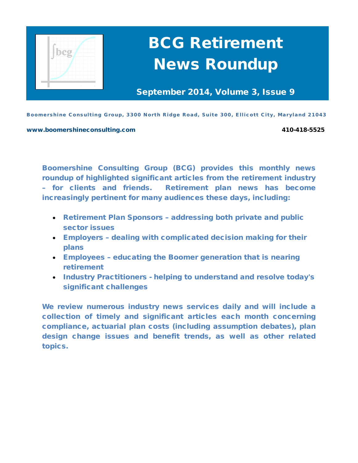

# BCG Retirement News Roundup

September 2014, Volume 3, Issue 9

Boomershine Consulting Group, 3300 North Ridge Road, Suite 300, Ellicott City, Maryland 21043

[www.boomershineconsulting.com](http://www.boomershineconsulting.com/) 410-418-5525

Boomershine Consulting Group (BCG) provides this monthly news roundup of highlighted significant articles from the retirement industry – for clients and friends. Retirement plan news has become increasingly pertinent for many audiences these days, including:

- Retirement Plan Sponsors addressing both private and public sector issues
- Employers dealing with complicated decision making for their plans
- Employees educating the Boomer generation that is nearing retirement
- Industry Practitioners helping to understand and resolve today's significant challenges

We review numerous industry news services daily and will include a collection of timely and significant articles each month concerning compliance, actuarial plan costs (including assumption debates), plan design change issues and benefit trends, as well as other related topics.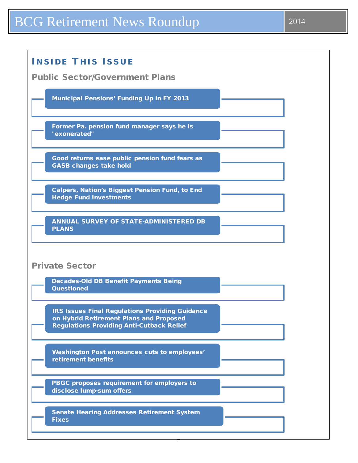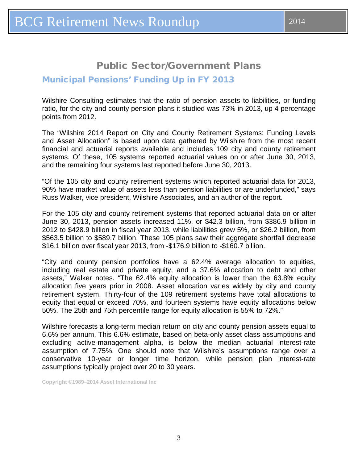# Public Sector/Government Plans

### <span id="page-2-0"></span>Municipal Pensions' Funding Up in FY 2013

Wilshire Consulting estimates that the ratio of pension assets to liabilities, or funding ratio, for the city and county pension plans it studied was 73% in 2013, up 4 percentage points from 2012.

The "Wilshire 2014 Report on City and County Retirement Systems: Funding Levels and Asset Allocation" is based upon data gathered by Wilshire from the most recent financial and actuarial reports available and includes 109 city and county retirement systems. Of these, 105 systems reported actuarial values on or after June 30, 2013, and the remaining four systems last reported before June 30, 2013.

"Of the 105 city and county retirement systems which reported actuarial data for 2013, 90% have market value of assets less than pension liabilities or are underfunded," says Russ Walker, vice president, Wilshire Associates, and an author of the report.

For the 105 city and county retirement systems that reported actuarial data on or after June 30, 2013, pension assets increased 11%, or \$42.3 billion, from \$386.9 billion in 2012 to \$428.9 billion in fiscal year 2013, while liabilities grew 5%, or \$26.2 billion, from \$563.5 billion to \$589.7 billion. These 105 plans saw their aggregate shortfall decrease \$16.1 billion over fiscal year 2013, from -\$176.9 billion to -\$160.7 billion.

"City and county pension portfolios have a 62.4% average allocation to equities, including real estate and private equity, and a 37.6% allocation to debt and other assets," Walker notes. "The 62.4% equity allocation is lower than the 63.8% equity allocation five years prior in 2008. Asset allocation varies widely by city and county retirement system. Thirty-four of the 109 retirement systems have total allocations to equity that equal or exceed 70%, and fourteen systems have equity allocations below 50%. The 25th and 75th percentile range for equity allocation is 55% to 72%."

Wilshire forecasts a long-term median return on city and county pension assets equal to 6.6% per annum. This 6.6% estimate, based on beta-only asset class assumptions and excluding active-management alpha, is below the median actuarial interest-rate assumption of 7.75%. One should note that Wilshire's assumptions range over a conservative 10-year or longer time horizon, while pension plan interest-rate assumptions typically project over 20 to 30 years.

**Copyright ©1989–2014 Asset International Inc**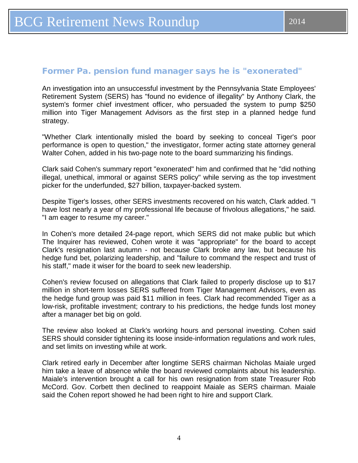### <span id="page-3-0"></span>Former Pa. pension fund manager says he is "exonerated"

An investigation into an unsuccessful investment by the Pennsylvania State Employees' Retirement System (SERS) has "found no evidence of illegality" by Anthony Clark, the system's former chief investment officer, who persuaded the system to pump \$250 million into Tiger Management Advisors as the first step in a planned hedge fund strategy.

"Whether Clark intentionally misled the board by seeking to conceal Tiger's poor performance is open to question," the investigator, former acting state attorney general Walter Cohen, added in his two-page note to the board summarizing his findings.

Clark said Cohen's summary report "exonerated" him and confirmed that he "did nothing illegal, unethical, immoral or against SERS policy" while serving as the top investment picker for the underfunded, \$27 billion, taxpayer-backed system.

Despite Tiger's losses, other SERS investments recovered on his watch, Clark added. "I have lost nearly a year of my professional life because of frivolous allegations," he said. "I am eager to resume my career."

In Cohen's more detailed 24-page report, which SERS did not make public but which The Inquirer has reviewed, Cohen wrote it was "appropriate" for the board to accept Clark's resignation last autumn - not because Clark broke any law, but because his hedge fund bet, polarizing leadership, and "failure to command the respect and trust of his staff," made it wiser for the board to seek new leadership.

Cohen's review focused on allegations that Clark failed to properly disclose up to \$17 million in short-term losses SERS suffered from Tiger Management Advisors, even as the hedge fund group was paid \$11 million in fees. Clark had recommended Tiger as a low-risk, profitable investment; contrary to his predictions, the hedge funds lost money after a manager bet big on gold.

The review also looked at Clark's working hours and personal investing. Cohen said SERS should consider tightening its loose inside-information regulations and work rules, and set limits on investing while at work.

Clark retired early in December after longtime SERS chairman Nicholas Maiale urged him take a leave of absence while the board reviewed complaints about his leadership. Maiale's intervention brought a call for his own resignation from state Treasurer Rob McCord. Gov. Corbett then declined to reappoint Maiale as SERS chairman. Maiale said the Cohen report showed he had been right to hire and support Clark.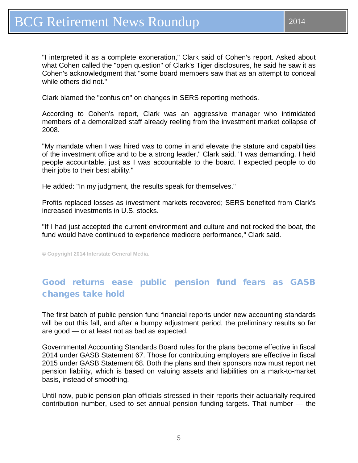<span id="page-4-0"></span>"I interpreted it as a complete exoneration," Clark said of Cohen's report. Asked about what Cohen called the "open question" of Clark's Tiger disclosures, he said he saw it as Cohen's acknowledgment that "some board members saw that as an attempt to conceal while others did not."

Clark blamed the "confusion" on changes in SERS reporting methods.

According to Cohen's report, Clark was an aggressive manager who intimidated members of a demoralized staff already reeling from the investment market collapse of 2008.

"My mandate when I was hired was to come in and elevate the stature and capabilities of the investment office and to be a strong leader," Clark said. "I was demanding. I held people accountable, just as I was accountable to the board. I expected people to do their jobs to their best ability."

He added: "In my judgment, the results speak for themselves."

Profits replaced losses as investment markets recovered; SERS benefited from Clark's increased investments in U.S. stocks.

"If I had just accepted the current environment and culture and not rocked the boat, the fund would have continued to experience mediocre performance," Clark said.

**© Copyright 2014 Interstate General Media.**

# Good returns ease public pension fund fears as GASB changes take hold

The first batch of public pension fund financial reports under new accounting standards will be out this fall, and after a bumpy adjustment period, the preliminary results so far are good — or at least not as bad as expected.

Governmental Accounting Standards Board rules for the plans become effective in fiscal 2014 under GASB Statement 67. Those for contributing employers are effective in fiscal 2015 under GASB Statement 68. Both the plans and their sponsors now must report net pension liability, which is based on valuing assets and liabilities on a mark-to-market basis, instead of smoothing.

Until now, public pension plan officials stressed in their reports their actuarially required contribution number, used to set annual pension funding targets. That number — the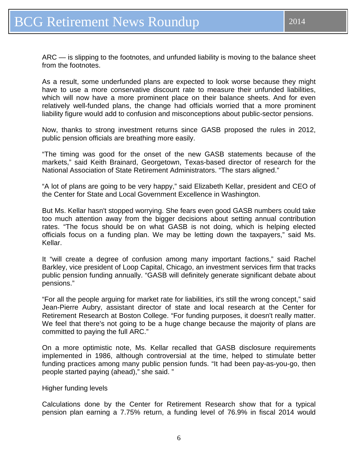ARC — is slipping to the footnotes, and unfunded liability is moving to the balance sheet from the footnotes.

As a result, some underfunded plans are expected to look worse because they might have to use a more conservative discount rate to measure their unfunded liabilities, which will now have a more prominent place on their balance sheets. And for even relatively well-funded plans, the change had officials worried that a more prominent liability figure would add to confusion and misconceptions about public-sector pensions.

Now, thanks to strong investment returns since GASB proposed the rules in 2012, public pension officials are breathing more easily.

"The timing was good for the onset of the new GASB statements because of the markets," said Keith Brainard, Georgetown, Texas-based director of research for the National Association of State Retirement Administrators. "The stars aligned."

"A lot of plans are going to be very happy," said Elizabeth Kellar, president and CEO of the Center for State and Local Government Excellence in Washington.

But Ms. Kellar hasn't stopped worrying. She fears even good GASB numbers could take too much attention away from the bigger decisions about setting annual contribution rates. "The focus should be on what GASB is not doing, which is helping elected officials focus on a funding plan. We may be letting down the taxpayers," said Ms. Kellar.

It "will create a degree of confusion among many important factions," said Rachel Barkley, vice president of Loop Capital, Chicago, an investment services firm that tracks public pension funding annually. "GASB will definitely generate significant debate about pensions."

"For all the people arguing for market rate for liabilities, it's still the wrong concept," said Jean-Pierre Aubry, assistant director of state and local research at the Center for Retirement Research at Boston College. "For funding purposes, it doesn't really matter. We feel that there's not going to be a huge change because the majority of plans are committed to paying the full ARC."

On a more optimistic note, Ms. Kellar recalled that GASB disclosure requirements implemented in 1986, although controversial at the time, helped to stimulate better funding practices among many public pension funds. "It had been pay-as-you-go, then people started paying (ahead)," she said. "

### Higher funding levels

Calculations done by the Center for Retirement Research show that for a typical pension plan earning a 7.75% return, a funding level of 76.9% in fiscal 2014 would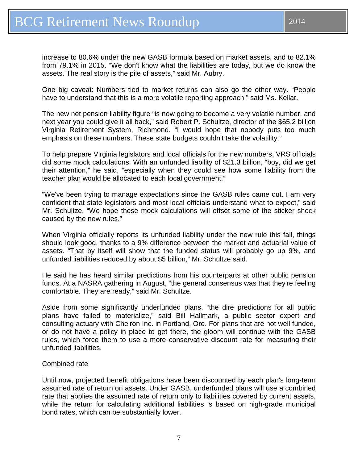increase to 80.6% under the new GASB formula based on market assets, and to 82.1% from 79.1% in 2015. "We don't know what the liabilities are today, but we do know the assets. The real story is the pile of assets," said Mr. Aubry.

One big caveat: Numbers tied to market returns can also go the other way. "People have to understand that this is a more volatile reporting approach," said Ms. Kellar.

The new net pension liability figure "is now going to become a very volatile number, and next year you could give it all back," said Robert P. Schultze, director of the \$65.2 billion Virginia Retirement System, Richmond. "I would hope that nobody puts too much emphasis on these numbers. These state budgets couldn't take the volatility."

To help prepare Virginia legislators and local officials for the new numbers, VRS officials did some mock calculations. With an unfunded liability of \$21.3 billion, "boy, did we get their attention," he said, "especially when they could see how some liability from the teacher plan would be allocated to each local government."

"We've been trying to manage expectations since the GASB rules came out. I am very confident that state legislators and most local officials understand what to expect," said Mr. Schultze. "We hope these mock calculations will offset some of the sticker shock caused by the new rules."

When Virginia officially reports its unfunded liability under the new rule this fall, things should look good, thanks to a 9% difference between the market and actuarial value of assets. "That by itself will show that the funded status will probably go up 9%, and unfunded liabilities reduced by about \$5 billion," Mr. Schultze said.

He said he has heard similar predictions from his counterparts at other public pension funds. At a NASRA gathering in August, "the general consensus was that they're feeling comfortable. They are ready," said Mr. Schultze.

Aside from some significantly underfunded plans, "the dire predictions for all public plans have failed to materialize," said Bill Hallmark, a public sector expert and consulting actuary with Cheiron Inc. in Portland, Ore. For plans that are not well funded, or do not have a policy in place to get there, the gloom will continue with the GASB rules, which force them to use a more conservative discount rate for measuring their unfunded liabilities.

### Combined rate

Until now, projected benefit obligations have been discounted by each plan's long-term assumed rate of return on assets. Under GASB, underfunded plans will use a combined rate that applies the assumed rate of return only to liabilities covered by current assets, while the return for calculating additional liabilities is based on high-grade municipal bond rates, which can be substantially lower.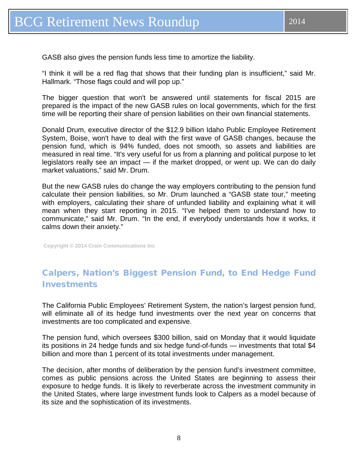<span id="page-7-0"></span>GASB also gives the pension funds less time to amortize the liability.

"I think it will be a red flag that shows that their funding plan is insufficient," said Mr. Hallmark. "Those flags could and will pop up."

The bigger question that won't be answered until statements for fiscal 2015 are prepared is the impact of the new GASB rules on local governments, which for the first time will be reporting their share of pension liabilities on their own financial statements.

Donald Drum, executive director of the \$12.9 billion Idaho Public Employee Retirement System, Boise, won't have to deal with the first wave of GASB changes, because the pension fund, which is 94% funded, does not smooth, so assets and liabilities are measured in real time. "It's very useful for us from a planning and political purpose to let legislators really see an impact — if the market dropped, or went up. We can do daily market valuations," said Mr. Drum.

But the new GASB rules do change the way employers contributing to the pension fund calculate their pension liabilities, so Mr. Drum launched a "GASB state tour," meeting with employers, calculating their share of unfunded liability and explaining what it will mean when they start reporting in 2015. "I've helped them to understand how to communicate," said Mr. Drum. "In the end, if everybody understands how it works, it calms down their anxiety."

**Copyright © 2014 Crain Communications Inc**

# Calpers, Nation's Biggest Pension Fund, to End Hedge Fund Investments

The California Public Employees' Retirement System, the nation's largest pension fund, will eliminate all of its hedge fund investments over the next year on concerns that investments are too complicated and expensive.

The pension fund, which oversees \$300 billion, said on Monday that it would liquidate its positions in 24 hedge funds and six hedge fund-of-funds — investments that total \$4 billion and more than 1 percent of its total investments under management.

The decision, after months of deliberation by the pension fund's investment committee, comes as public pensions across the United States are beginning to assess their exposure to hedge funds. It is likely to reverberate across the investment community in the United States, where large investment funds look to Calpers as a model because of its size and the sophistication of its investments.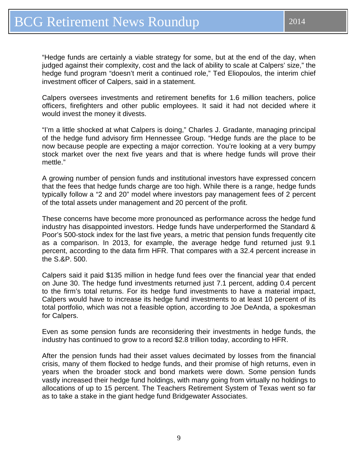"Hedge funds are certainly a viable strategy for some, but at the end of the day, when judged against their complexity, cost and the lack of ability to scale at Calpers' size," the hedge fund program "doesn't merit a continued role," Ted Eliopoulos, the interim chief investment officer of Calpers, said in a statement.

Calpers oversees investments and retirement benefits for 1.6 million teachers, police officers, firefighters and other public employees. It said it had not decided where it would invest the money it divests.

"I'm a little shocked at what Calpers is doing," Charles J. Gradante, managing principal of the hedge fund advisory firm Hennessee Group. "Hedge funds are the place to be now because people are expecting a major correction. You're looking at a very bumpy stock market over the next five years and that is where hedge funds will prove their mettle."

A growing number of pension funds and institutional investors have expressed concern that the fees that hedge funds charge are too high. While there is a range, hedge funds typically follow a "2 and 20" model where investors pay management fees of 2 percent of the total assets under management and 20 percent of the profit.

These concerns have become more pronounced as performance across the hedge fund industry has disappointed investors. Hedge funds have underperformed the Standard & Poor's 500-stock index for the last five years, a metric that pension funds frequently cite as a comparison. In 2013, for example, the average hedge fund returned just 9.1 percent, according to the data firm HFR. That compares with a 32.4 percent increase in the S.&P. 500.

Calpers said it paid \$135 million in hedge fund fees over the financial year that ended on June 30. The hedge fund investments returned just 7.1 percent, adding 0.4 percent to the firm's total returns. For its hedge fund investments to have a material impact, Calpers would have to increase its hedge fund investments to at least 10 percent of its total portfolio, which was not a feasible option, according to Joe DeAnda, a spokesman for Calpers.

Even as some pension funds are reconsidering their investments in hedge funds, the industry has continued to grow to a record \$2.8 trillion today, according to HFR.

After the pension funds had their asset values decimated by losses from the financial crisis, many of them flocked to hedge funds, and their promise of high returns, even in years when the broader stock and bond markets were down. Some pension funds vastly increased their hedge fund holdings, with many going from virtually no holdings to allocations of up to 15 percent. The Teachers Retirement System of Texas went so far as to take a stake in the giant hedge fund Bridgewater Associates.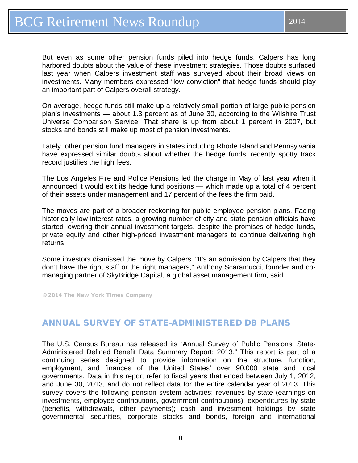<span id="page-9-0"></span>But even as some other pension funds piled into hedge funds, Calpers has long harbored doubts about the value of these investment strategies. Those doubts surfaced last year when Calpers investment staff was surveyed about their broad views on investments. Many members expressed "low conviction" that hedge funds should play an important part of Calpers overall strategy.

On average, hedge funds still make up a relatively small portion of large public pension plan's investments — about 1.3 percent as of June 30, according to the Wilshire Trust Universe Comparison Service. That share is up from about 1 percent in 2007, but stocks and bonds still make up most of pension investments.

Lately, other pension fund managers in states including Rhode Island and Pennsylvania have expressed similar doubts about whether the hedge funds' recently spotty track record justifies the high fees.

The Los Angeles Fire and Police Pensions led the charge in May of last year when it announced it would exit its hedge fund positions — which made up a total of 4 percent of their assets under management and 17 percent of the fees the firm paid.

The moves are part of a broader reckoning for public employee pension plans. Facing historically low interest rates, a growing number of city and state pension officials have started lowering their annual investment targets, despite the promises of hedge funds, private equity and other high-priced investment managers to continue delivering high returns.

Some investors dismissed the move by Calpers. "It's an admission by Calpers that they don't have the right staff or the right managers," Anthony Scaramucci, founder and comanaging partner of SkyBridge Capital, a global asset management firm, said.

© 2014 The New York Times Company

### ANNUAL SURVEY OF STATE-ADMINISTERED DB PLANS

The U.S. Census Bureau has released its "Annual Survey of Public Pensions: State-Administered Defined Benefit Data Summary Report: 2013." This report is part of a continuing series designed to provide information on the structure, function, employment, and finances of the United States' over 90,000 state and local governments. Data in this report refer to fiscal years that ended between July 1, 2012, and June 30, 2013, and do not reflect data for the entire calendar year of 2013. This survey covers the following pension system activities: revenues by state (earnings on investments, employee contributions, government contributions); expenditures by state (benefits, withdrawals, other payments); cash and investment holdings by state governmental securities, corporate stocks and bonds, foreign and international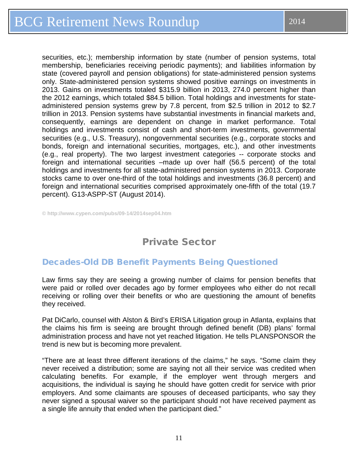<span id="page-10-0"></span>securities, etc.); membership information by state (number of pension systems, total membership, beneficiaries receiving periodic payments); and liabilities information by state (covered payroll and pension obligations) for state-administered pension systems only. State-administered pension systems showed positive earnings on investments in 2013. Gains on investments totaled \$315.9 billion in 2013, 274.0 percent higher than the 2012 earnings, which totaled \$84.5 billion. Total holdings and investments for stateadministered pension systems grew by 7.8 percent, from \$2.5 trillion in 2012 to \$2.7 trillion in 2013. Pension systems have substantial investments in financial markets and, consequently, earnings are dependent on change in market performance. Total holdings and investments consist of cash and short-term investments, governmental securities (e.g., U.S. Treasury), nongovernmental securities (e.g., corporate stocks and bonds, foreign and international securities, mortgages, etc.), and other investments (e.g., real property). The two largest investment categories -- corporate stocks and foreign and international securities –made up over half (56.5 percent) of the total holdings and investments for all state-administered pension systems in 2013. Corporate stocks came to over one-third of the total holdings and investments (36.8 percent) and foreign and international securities comprised approximately one-fifth of the total (19.7 percent). G13-ASPP-ST (August 2014).

**© http://www.cypen.com/pubs/09-14/2014sep04.htm**

# Private Sector

### Decades-Old DB Benefit Payments Being Questioned

Law firms say they are seeing a growing number of claims for pension benefits that were paid or rolled over decades ago by former employees who either do not recall receiving or rolling over their benefits or who are questioning the amount of benefits they received.

Pat DiCarlo, counsel with Alston & Bird's ERISA Litigation group in Atlanta, explains that the claims his firm is seeing are brought through defined benefit (DB) plans' formal administration process and have not yet reached litigation. He tells PLANSPONSOR the trend is new but is becoming more prevalent.

"There are at least three different iterations of the claims," he says. "Some claim they never received a distribution; some are saying not all their service was credited when calculating benefits. For example, if the employer went through mergers and acquisitions, the individual is saying he should have gotten credit for service with prior employers. And some claimants are spouses of deceased participants, who say they never signed a spousal waiver so the participant should not have received payment as a single life annuity that ended when the participant died."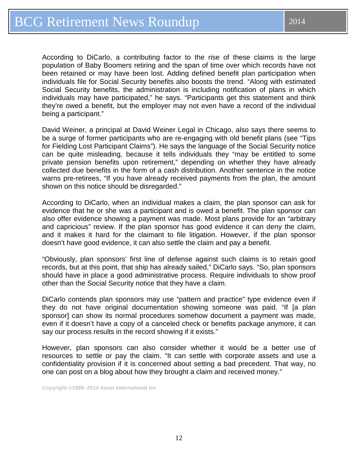According to DiCarlo, a contributing factor to the rise of these claims is the large population of Baby Boomers retiring and the span of time over which records have not been retained or may have been lost. Adding defined benefit plan participation when individuals file for Social Security benefits also boosts the trend. "Along with estimated Social Security benefits, the administration is including notification of plans in which individuals may have participated," he says. "Participants get this statement and think they're owed a benefit, but the employer may not even have a record of the individual being a participant."

David Weiner, a principal at David Weiner Legal in Chicago, also says there seems to be a surge of former participants who are re-engaging with old benefit plans (see "Tips for Fielding Lost Participant Claims"). He says the language of the Social Security notice can be quite misleading, because it tells individuals they "may be entitled to some private pension benefits upon retirement," depending on whether they have already collected due benefits in the form of a cash distribution. Another sentence in the notice warns pre-retirees, "If you have already received payments from the plan, the amount shown on this notice should be disregarded."

According to DiCarlo, when an individual makes a claim, the plan sponsor can ask for evidence that he or she was a participant and is owed a benefit. The plan sponsor can also offer evidence showing a payment was made. Most plans provide for an "arbitrary and capricious" review. If the plan sponsor has good evidence it can deny the claim, and it makes it hard for the claimant to file litigation. However, if the plan sponsor doesn't have good evidence, it can also settle the claim and pay a benefit.

"Obviously, plan sponsors' first line of defense against such claims is to retain good records, but at this point, that ship has already sailed," DiCarlo says. "So, plan sponsors should have in place a good administrative process. Require individuals to show proof other than the Social Security notice that they have a claim.

DiCarlo contends plan sponsors may use "pattern and practice" type evidence even if they do not have original documentation showing someone was paid. "If [a plan sponsor] can show its normal procedures somehow document a payment was made, even if it doesn't have a copy of a canceled check or benefits package anymore, it can say our process results in the record showing if it exists."

However, plan sponsors can also consider whether it would be a better use of resources to settle or pay the claim. "It can settle with corporate assets and use a confidentiality provision if it is concerned about setting a bad precedent. That way, no one can post on a blog about how they brought a claim and received money."

**Copyright ©1989–2014 Asset International Inc**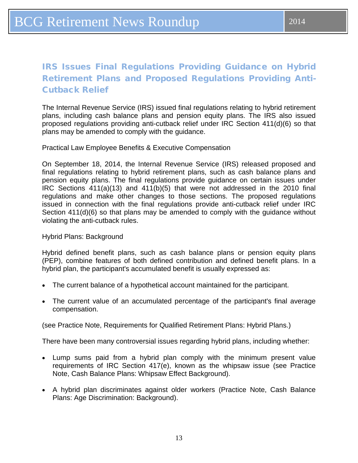# <span id="page-12-0"></span>IRS Issues Final Regulations Providing Guidance on Hybrid Retirement Plans and Proposed Regulations Providing Anti-Cutback Relief

The Internal Revenue Service (IRS) issued final regulations relating to hybrid retirement plans, including cash balance plans and pension equity plans. The IRS also issued proposed regulations providing anti-cutback relief under IRC Section 411(d)(6) so that plans may be amended to comply with the guidance.

Practical Law Employee Benefits & Executive Compensation

On September 18, 2014, the Internal Revenue Service (IRS) released proposed and final regulations relating to hybrid retirement plans, such as cash balance plans and pension equity plans. The final regulations provide guidance on certain issues under IRC Sections 411(a)(13) and 411(b)(5) that were not addressed in the 2010 final regulations and make other changes to those sections. The proposed regulations issued in connection with the final regulations provide anti-cutback relief under IRC Section 411(d)(6) so that plans may be amended to comply with the guidance without violating the anti-cutback rules.

Hybrid Plans: Background

Hybrid defined benefit plans, such as cash balance plans or pension equity plans (PEP), combine features of both defined contribution and defined benefit plans. In a hybrid plan, the participant's accumulated benefit is usually expressed as:

- The current balance of a hypothetical account maintained for the participant.
- The current value of an accumulated percentage of the participant's final average compensation.

(see Practice Note, Requirements for Qualified Retirement Plans: Hybrid Plans.)

There have been many controversial issues regarding hybrid plans, including whether:

- Lump sums paid from a hybrid plan comply with the minimum present value requirements of IRC Section 417(e), known as the whipsaw issue (see Practice Note, Cash Balance Plans: Whipsaw Effect Background).
- A hybrid plan discriminates against older workers (Practice Note, Cash Balance Plans: Age Discrimination: Background).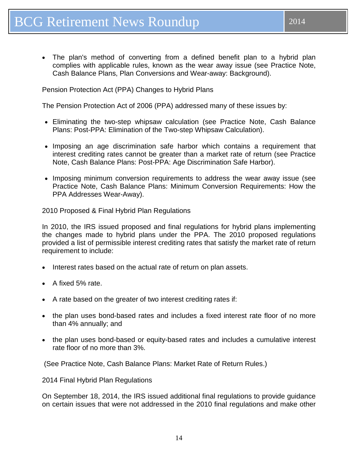• The plan's method of converting from a defined benefit plan to a hybrid plan complies with applicable rules, known as the wear away issue (see Practice Note, Cash Balance Plans, Plan Conversions and Wear-away: Background).

Pension Protection Act (PPA) Changes to Hybrid Plans

The Pension Protection Act of 2006 (PPA) addressed many of these issues by:

- Eliminating the two-step whipsaw calculation (see Practice Note, Cash Balance Plans: Post-PPA: Elimination of the Two-step Whipsaw Calculation).
- Imposing an age discrimination safe harbor which contains a requirement that interest crediting rates cannot be greater than a market rate of return (see Practice Note, Cash Balance Plans: Post-PPA: Age Discrimination Safe Harbor).
- Imposing minimum conversion requirements to address the wear away issue (see Practice Note, Cash Balance Plans: Minimum Conversion Requirements: How the PPA Addresses Wear-Away).

2010 Proposed & Final Hybrid Plan Regulations

In 2010, the IRS issued proposed and final regulations for hybrid plans implementing the changes made to hybrid plans under the PPA. The 2010 proposed regulations provided a list of permissible interest crediting rates that satisfy the market rate of return requirement to include:

- Interest rates based on the actual rate of return on plan assets.
- A fixed 5% rate.
- A rate based on the greater of two interest crediting rates if:
- the plan uses bond-based rates and includes a fixed interest rate floor of no more than 4% annually; and
- the plan uses bond-based or equity-based rates and includes a cumulative interest rate floor of no more than 3%.

(See Practice Note, Cash Balance Plans: Market Rate of Return Rules.)

2014 Final Hybrid Plan Regulations

On September 18, 2014, the IRS issued additional final regulations to provide guidance on certain issues that were not addressed in the 2010 final regulations and make other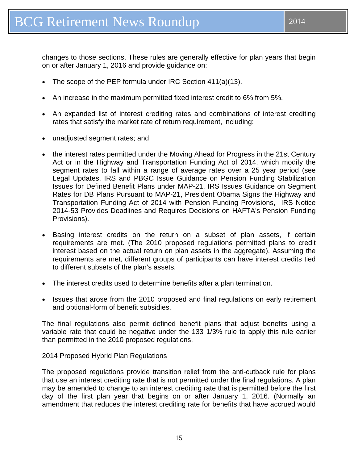changes to those sections. These rules are generally effective for plan years that begin on or after January 1, 2016 and provide guidance on:

- The scope of the PEP formula under IRC Section 411(a)(13).
- An increase in the maximum permitted fixed interest credit to 6% from 5%.
- An expanded list of interest crediting rates and combinations of interest crediting rates that satisfy the market rate of return requirement, including:
- unadjusted segment rates; and
- the interest rates permitted under the Moving Ahead for Progress in the 21st Century Act or in the Highway and Transportation Funding Act of 2014, which modify the segment rates to fall within a range of average rates over a 25 year period (see Legal Updates, IRS and PBGC Issue Guidance on Pension Funding Stabilization Issues for Defined Benefit Plans under MAP-21, IRS Issues Guidance on Segment Rates for DB Plans Pursuant to MAP-21, President Obama Signs the Highway and Transportation Funding Act of 2014 with Pension Funding Provisions, IRS Notice 2014-53 Provides Deadlines and Requires Decisions on HAFTA's Pension Funding Provisions).
- Basing interest credits on the return on a subset of plan assets, if certain requirements are met. (The 2010 proposed regulations permitted plans to credit interest based on the actual return on plan assets in the aggregate). Assuming the requirements are met, different groups of participants can have interest credits tied to different subsets of the plan's assets.
- The interest credits used to determine benefits after a plan termination.
- Issues that arose from the 2010 proposed and final regulations on early retirement and optional-form of benefit subsidies.

The final regulations also permit defined benefit plans that adjust benefits using a variable rate that could be negative under the 133 1/3% rule to apply this rule earlier than permitted in the 2010 proposed regulations.

### 2014 Proposed Hybrid Plan Regulations

The proposed regulations provide transition relief from the anti-cutback rule for plans that use an interest crediting rate that is not permitted under the final regulations. A plan may be amended to change to an interest crediting rate that is permitted before the first day of the first plan year that begins on or after January 1, 2016. (Normally an amendment that reduces the interest crediting rate for benefits that have accrued would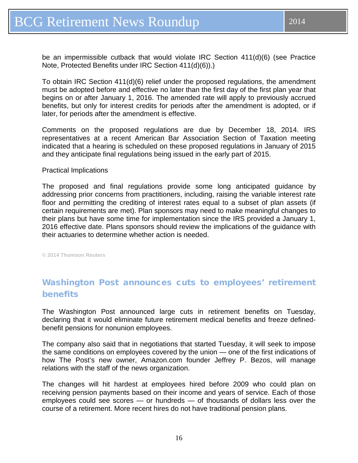<span id="page-15-0"></span>be an impermissible cutback that would violate IRC Section 411(d)(6) (see Practice Note, Protected Benefits under IRC Section 411(d)(6)).)

To obtain IRC Section 411(d)(6) relief under the proposed regulations, the amendment must be adopted before and effective no later than the first day of the first plan year that begins on or after January 1, 2016. The amended rate will apply to previously accrued benefits, but only for interest credits for periods after the amendment is adopted, or if later, for periods after the amendment is effective.

Comments on the proposed regulations are due by December 18, 2014. IRS representatives at a recent American Bar Association Section of Taxation meeting indicated that a hearing is scheduled on these proposed regulations in January of 2015 and they anticipate final regulations being issued in the early part of 2015.

### Practical Implications

The proposed and final regulations provide some long anticipated guidance by addressing prior concerns from practitioners, including, raising the variable interest rate floor and permitting the crediting of interest rates equal to a subset of plan assets (if certain requirements are met). Plan sponsors may need to make meaningful changes to their plans but have some time for implementation since the IRS provided a January 1, 2016 effective date. Plans sponsors should review the implications of the guidance with their actuaries to determine whether action is needed.

**© 2014 Thomson Reuters**

# Washington Post announces cuts to employees' retirement benefits

The Washington Post announced large cuts in retirement benefits on Tuesday, declaring that it would eliminate future retirement medical benefits and freeze definedbenefit pensions for nonunion employees.

The company also said that in negotiations that started Tuesday, it will seek to impose the same conditions on employees covered by the union — one of the first indications of how The Post's new owner, Amazon.com founder Jeffrey P. Bezos, will manage relations with the staff of the news organization.

The changes will hit hardest at employees hired before 2009 who could plan on receiving pension payments based on their income and years of service. Each of those employees could see scores — or hundreds — of thousands of dollars less over the course of a retirement. More recent hires do not have traditional pension plans.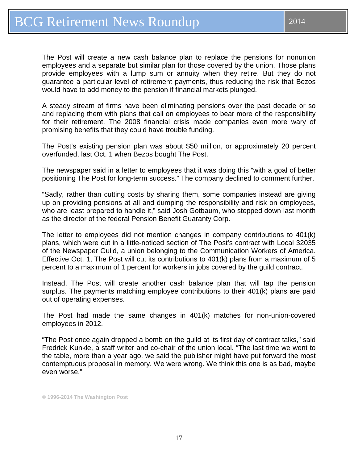The Post will create a new cash balance plan to replace the pensions for nonunion employees and a separate but similar plan for those covered by the union. Those plans provide employees with a lump sum or annuity when they retire. But they do not guarantee a particular level of retirement payments, thus reducing the risk that Bezos would have to add money to the pension if financial markets plunged.

A steady stream of firms have been eliminating pensions over the past decade or so and replacing them with plans that call on employees to bear more of the responsibility for their retirement. The 2008 financial crisis made companies even more wary of promising benefits that they could have trouble funding.

The Post's existing pension plan was about \$50 million, or approximately 20 percent overfunded, last Oct. 1 when Bezos bought The Post.

The newspaper said in a letter to employees that it was doing this "with a goal of better positioning The Post for long-term success." The company declined to comment further.

"Sadly, rather than cutting costs by sharing them, some companies instead are giving up on providing pensions at all and dumping the responsibility and risk on employees, who are least prepared to handle it," said Josh Gotbaum, who stepped down last month as the director of the federal Pension Benefit Guaranty Corp.

The letter to employees did not mention changes in company contributions to 401(k) plans, which were cut in a little-noticed section of The Post's contract with Local 32035 of the Newspaper Guild, a union belonging to the Communication Workers of America. Effective Oct. 1, The Post will cut its contributions to 401(k) plans from a maximum of 5 percent to a maximum of 1 percent for workers in jobs covered by the guild contract.

Instead, The Post will create another cash balance plan that will tap the pension surplus. The payments matching employee contributions to their 401(k) plans are paid out of operating expenses.

The Post had made the same changes in 401(k) matches for non-union-covered employees in 2012.

"The Post once again dropped a bomb on the guild at its first day of contract talks," said Fredrick Kunkle, a staff writer and co-chair of the union local. "The last time we went to the table, more than a year ago, we said the publisher might have put forward the most contemptuous proposal in memory. We were wrong. We think this one is as bad, maybe even worse."

**© 1996-2014 The Washington Post**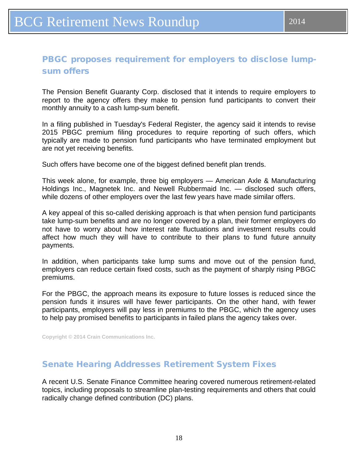## <span id="page-17-0"></span>PBGC proposes requirement for employers to disclose lumpsum offers

The Pension Benefit Guaranty Corp. disclosed that it intends to require employers to report to the agency offers they make to pension fund participants to convert their monthly annuity to a cash lump-sum benefit.

In a filing published in Tuesday's Federal Register, the agency said it intends to revise 2015 PBGC premium filing procedures to require reporting of such offers, which typically are made to pension fund participants who have terminated employment but are not yet receiving benefits.

Such offers have become one of the biggest defined benefit plan trends.

This week alone, for example, three big employers — American Axle & Manufacturing Holdings Inc., Magnetek Inc. and Newell Rubbermaid Inc. — disclosed such offers, while dozens of other employers over the last few years have made similar offers.

A key appeal of this so-called derisking approach is that when pension fund participants take lump-sum benefits and are no longer covered by a plan, their former employers do not have to worry about how interest rate fluctuations and investment results could affect how much they will have to contribute to their plans to fund future annuity payments.

In addition, when participants take lump sums and move out of the pension fund, employers can reduce certain fixed costs, such as the payment of sharply rising PBGC premiums.

For the PBGC, the approach means its exposure to future losses is reduced since the pension funds it insures will have fewer participants. On the other hand, with fewer participants, employers will pay less in premiums to the PBGC, which the agency uses to help pay promised benefits to participants in failed plans the agency takes over.

**Copyright © 2014 Crain Communications Inc.**

### Senate Hearing Addresses Retirement System Fixes

A recent U.S. Senate Finance Committee hearing covered numerous retirement-related topics, including proposals to streamline plan-testing requirements and others that could radically change defined contribution (DC) plans.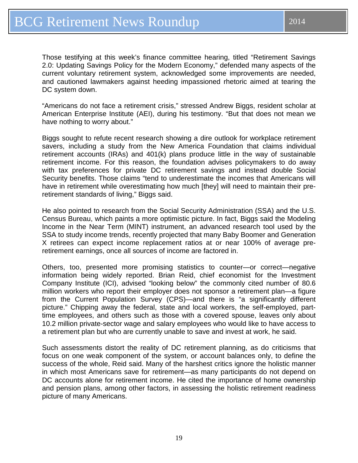Those testifying at this week's finance committee hearing, titled "Retirement Savings 2.0: Updating Savings Policy for the Modern Economy," defended many aspects of the current voluntary retirement system, acknowledged some improvements are needed, and cautioned lawmakers against heeding impassioned rhetoric aimed at tearing the DC system down.

"Americans do not face a retirement crisis," stressed Andrew Biggs, resident scholar at American Enterprise Institute (AEI), during his testimony. "But that does not mean we have nothing to worry about."

Biggs sought to refute recent research showing a dire outlook for workplace retirement savers, including a study from the New America Foundation that claims individual retirement accounts (IRAs) and 401(k) plans produce little in the way of sustainable retirement income. For this reason, the foundation advises policymakers to do away with tax preferences for private DC retirement savings and instead double Social Security benefits. Those claims "tend to underestimate the incomes that Americans will have in retirement while overestimating how much [they] will need to maintain their preretirement standards of living," Biggs said.

He also pointed to research from the Social Security Administration (SSA) and the U.S. Census Bureau, which paints a more optimistic picture. In fact, Biggs said the Modeling Income in the Near Term (MINT) instrument, an advanced research tool used by the SSA to study income trends, recently projected that many Baby Boomer and Generation X retirees can expect income replacement ratios at or near 100% of average preretirement earnings, once all sources of income are factored in.

Others, too, presented more promising statistics to counter—or correct—negative information being widely reported. Brian Reid, chief economist for the Investment Company Institute (ICI), advised "looking below" the commonly cited number of 80.6 million workers who report their employer does not sponsor a retirement plan—a figure from the Current Population Survey (CPS)—and there is "a significantly different picture." Chipping away the federal, state and local workers, the self-employed, parttime employees, and others such as those with a covered spouse, leaves only about 10.2 million private-sector wage and salary employees who would like to have access to a retirement plan but who are currently unable to save and invest at work, he said.

Such assessments distort the reality of DC retirement planning, as do criticisms that focus on one weak component of the system, or account balances only, to define the success of the whole, Reid said. Many of the harshest critics ignore the holistic manner in which most Americans save for retirement—as many participants do not depend on DC accounts alone for retirement income. He cited the importance of home ownership and pension plans, among other factors, in assessing the holistic retirement readiness picture of many Americans.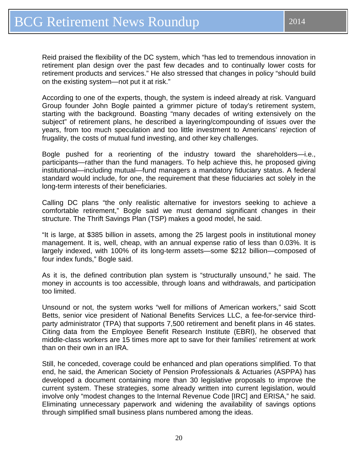Reid praised the flexibility of the DC system, which "has led to tremendous innovation in retirement plan design over the past few decades and to continually lower costs for retirement products and services." He also stressed that changes in policy "should build on the existing system—not put it at risk."

According to one of the experts, though, the system is indeed already at risk. Vanguard Group founder John Bogle painted a grimmer picture of today's retirement system, starting with the background. Boasting "many decades of writing extensively on the subject" of retirement plans, he described a layering/compounding of issues over the years, from too much speculation and too little investment to Americans' rejection of frugality, the costs of mutual fund investing, and other key challenges.

Bogle pushed for a reorienting of the industry toward the shareholders—i.e., participants—rather than the fund managers. To help achieve this, he proposed giving institutional—including mutual—fund managers a mandatory fiduciary status. A federal standard would include, for one, the requirement that these fiduciaries act solely in the long-term interests of their beneficiaries.

Calling DC plans "the only realistic alternative for investors seeking to achieve a comfortable retirement," Bogle said we must demand significant changes in their structure. The Thrift Savings Plan (TSP) makes a good model, he said.

"It is large, at \$385 billion in assets, among the 25 largest pools in institutional money management. It is, well, cheap, with an annual expense ratio of less than 0.03%. It is largely indexed, with 100% of its long-term assets—some \$212 billion—composed of four index funds," Bogle said.

As it is, the defined contribution plan system is "structurally unsound," he said. The money in accounts is too accessible, through loans and withdrawals, and participation too limited.

Unsound or not, the system works "well for millions of American workers," said Scott Betts, senior vice president of National Benefits Services LLC, a fee-for-service thirdparty administrator (TPA) that supports 7,500 retirement and benefit plans in 46 states. Citing data from the Employee Benefit Research Institute (EBRI), he observed that middle-class workers are 15 times more apt to save for their families' retirement at work than on their own in an IRA.

Still, he conceded, coverage could be enhanced and plan operations simplified. To that end, he said, the American Society of Pension Professionals & Actuaries (ASPPA) has developed a document containing more than 30 legislative proposals to improve the current system. These strategies, some already written into current legislation, would involve only "modest changes to the Internal Revenue Code [IRC] and ERISA," he said. Eliminating unnecessary paperwork and widening the availability of savings options through simplified small business plans numbered among the ideas.